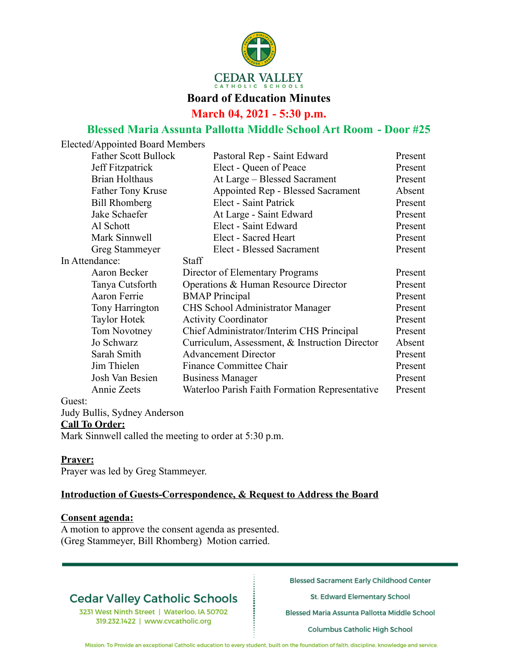

#### **Board of Education Minutes**

**March 04, 2021 - 5:30 p.m.**

## **Blessed Maria Assunta Pallotta Middle School Art Room - Door #25**

| Elected/Appointed Board Members |                                                |         |
|---------------------------------|------------------------------------------------|---------|
| <b>Father Scott Bullock</b>     | Pastoral Rep - Saint Edward                    | Present |
| Jeff Fitzpatrick                | Elect - Queen of Peace                         | Present |
| <b>Brian Holthaus</b>           | At Large – Blessed Sacrament                   | Present |
| <b>Father Tony Kruse</b>        | Appointed Rep - Blessed Sacrament              | Absent  |
| <b>Bill Rhomberg</b>            | Elect - Saint Patrick                          | Present |
| Jake Schaefer                   | At Large - Saint Edward                        | Present |
| Al Schott                       | Elect - Saint Edward                           | Present |
| Mark Sinnwell                   | Elect - Sacred Heart                           | Present |
| Greg Stammeyer                  | <b>Elect - Blessed Sacrament</b>               | Present |
| In Attendance:                  | <b>Staff</b>                                   |         |
| Aaron Becker                    | Director of Elementary Programs                | Present |
| Tanya Cutsforth                 | Operations & Human Resource Director           | Present |
| Aaron Ferrie                    | <b>BMAP</b> Principal                          | Present |
| Tony Harrington                 | CHS School Administrator Manager               | Present |
| <b>Taylor Hotek</b>             | <b>Activity Coordinator</b>                    | Present |
| Tom Novotney                    | Chief Administrator/Interim CHS Principal      | Present |
| Jo Schwarz                      | Curriculum, Assessment, & Instruction Director | Absent  |
| Sarah Smith                     | <b>Advancement Director</b>                    | Present |
| Jim Thielen                     | Finance Committee Chair                        | Present |
| Josh Van Besien                 | <b>Business Manager</b>                        | Present |
| Annie Zeets                     | Waterloo Parish Faith Formation Representative | Present |
| Guest:                          |                                                |         |

Judy Bullis, Sydney Anderson

#### **Call To Order:**

Mark Sinnwell called the meeting to order at 5:30 p.m.

## **Prayer:**

Prayer was led by Greg Stammeyer.

## **Introduction of Guests-Correspondence, & Request to Address the Board**

#### **Consent agenda:**

A motion to approve the consent agenda as presented. (Greg Stammeyer, Bill Rhomberg) Motion carried.

# **Cedar Valley Catholic Schools**

3231 West Ninth Street | Waterloo, IA 50702 319.232.1422 | www.cvcatholic.org

**Blessed Sacrament Early Childhood Center** 

St. Edward Elementary School

Blessed Maria Assunta Pallotta Middle School

Columbus Catholic High School

Mission: To Provide an exceptional Catholic education to every student, built on the foundation of faith, discipline, knowledge and service.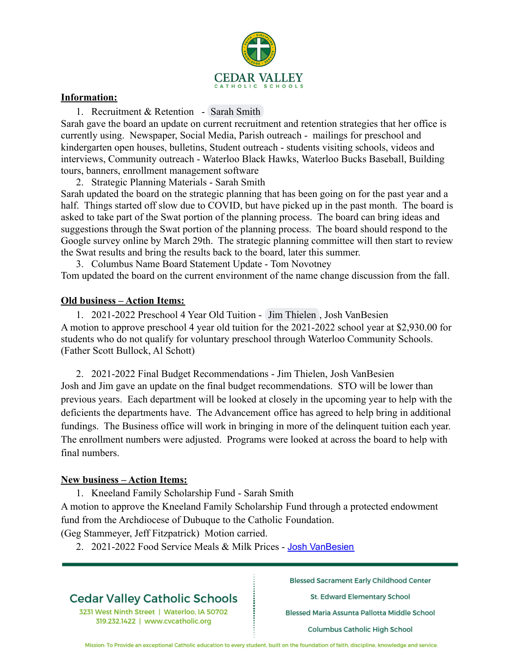

#### **Information:**

1. Recruitment & Retention - Sarah Smith

Sarah gave the board an update on current recruitment and retention strategies that her office is currently using. Newspaper, Social Media, Parish outreach - mailings for preschool and kindergarten open houses, bulletins, Student outreach - students visiting schools, videos and interviews, Community outreach - Waterloo Black Hawks, Waterloo Bucks Baseball, Building tours, banners, enrollment management software

2. Strategic Planning Materials - Sarah Smith

Sarah updated the board on the strategic planning that has been going on for the past year and a half. Things started off slow due to COVID, but have picked up in the past month. The board is asked to take part of the Swat portion of the planning process. The board can bring ideas and suggestions through the Swat portion of the planning process. The board should respond to the Google survey online by March 29th. The strategic planning committee will then start to review the Swat results and bring the results back to the board, later this summer.

3. Columbus Name Board Statement Update - Tom Novotney Tom updated the board on the current environment of the name change discussion from the fall.

#### **Old business – Action Items:**

1. 2021-2022 Preschool 4 Year Old Tuition - Jim Thielen , Josh VanBesien A motion to approve preschool 4 year old tuition for the 2021-2022 school year at \$2,930.00 for students who do not qualify for voluntary preschool through Waterloo Community Schools. (Father Scott Bullock, Al Schott)

2. 2021-2022 Final Budget Recommendations - Jim Thielen, Josh VanBesien Josh and Jim gave an update on the final budget recommendations. STO will be lower than previous years. Each department will be looked at closely in the upcoming year to help with the deficients the departments have. The Advancement office has agreed to help bring in additional fundings. The Business office will work in bringing in more of the delinquent tuition each year. The enrollment numbers were adjusted. Programs were looked at across the board to help with final numbers.

#### **New business – Action Items:**

1. Kneeland Family Scholarship Fund - Sarah Smith

A motion to approve the Kneeland Family Scholarship Fund through a protected endowment fund from the Archdiocese of Dubuque to the Catholic Foundation.

(Geg Stammeyer, Jeff Fitzpatrick) Motion carried.

2. 2021-2022 Food Service Meals & Milk Prices - Josh VanBesien

## **Cedar Valley Catholic Schools**

3231 West Ninth Street | Waterloo, IA 50702 319.232.1422 | www.cvcatholic.org

**Blessed Sacrament Early Childhood Center** 

St. Edward Elementary School

Blessed Maria Assunta Pallotta Middle School

Columbus Catholic High School

Mission: To Provide an exceptional Catholic education to every student, built on the foundation of faith, discipline, knowledge and service.